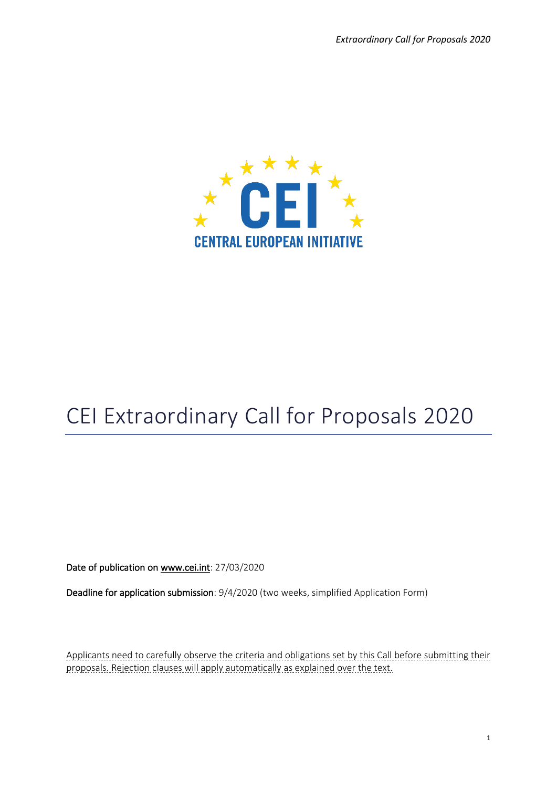

# CEI Extraordinary Call for Proposals 2020

Date of publication o[n www.cei.int:](http://www.cei.int/) 27/03/2020

Deadline for application submission: 9/4/2020 (two weeks, simplified Application Form)

Applicants need to carefully observe the criteria and obligations set by this Call before submitting their proposals. Rejection clauses will apply automatically as explained over the text.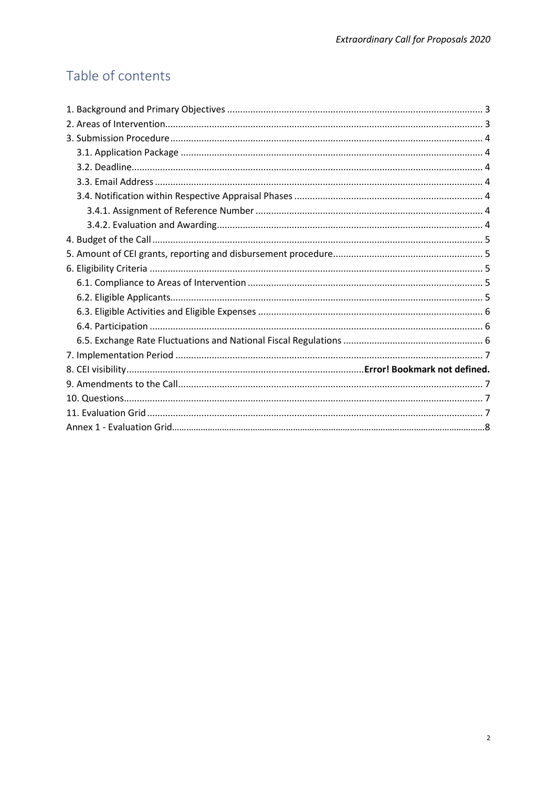## Table of contents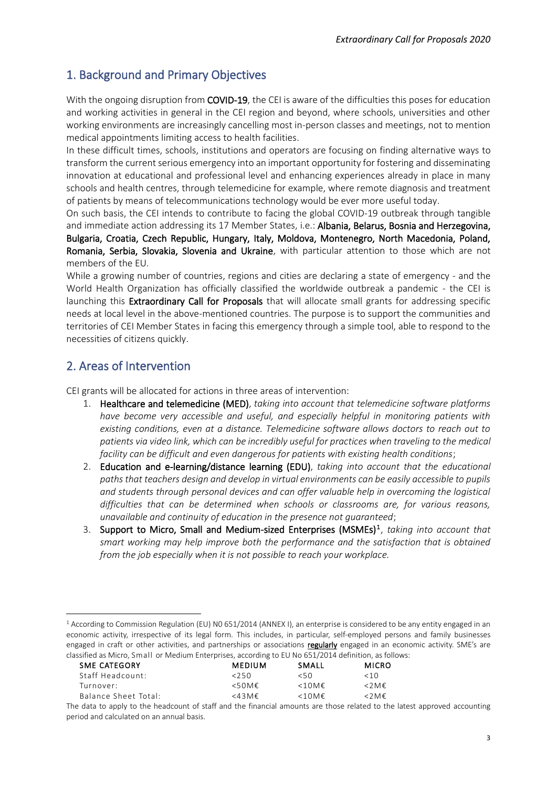## <span id="page-2-0"></span>1. Background and Primary Objectives

With the ongoing disruption from **COVID-19**, the CEI is aware of the difficulties this poses for education and working activities in general in the CEI region and beyond, where schools, universities and other working environments are increasingly cancelling most in-person classes and meetings, not to mention medical appointments limiting access to health facilities.

In these difficult times, schools, institutions and operators are focusing on finding alternative ways to transform the current serious emergency into an important opportunity for fostering and disseminating innovation at educational and professional level and enhancing experiences already in place in many schools and health centres, through telemedicine for example, where remote diagnosis and treatment of patients by means of telecommunications technology would be ever more useful today.

On such basis, the CEI intends to contribute to facing the global COVID-19 outbreak through tangible and immediate action addressing its 17 Member States, i.e.: Albania, Belarus, Bosnia and Herzegovina, Bulgaria, Croatia, Czech Republic, Hungary, Italy, Moldova, Montenegro, North Macedonia, Poland, Romania, Serbia, Slovakia, Slovenia and Ukraine, with particular attention to those which are not members of the EU.

While a growing number of countries, regions and cities are declaring a state of emergency - and the World Health Organization has officially classified the worldwide outbreak a pandemic - the CEI is launching this Extraordinary Call for Proposals that will allocate small grants for addressing specific needs at local level in the above-mentioned countries. The purpose is to support the communities and territories of CEI Member States in facing this emergency through a simple tool, able to respond to the necessities of citizens quickly.

## <span id="page-2-1"></span>2. Areas of Intervention

CEI grants will be allocated for actions in three areas of intervention:

- 1. Healthcare and telemedicine (MED), *taking into account that telemedicine software platforms have become very accessible and useful, and especially helpful in monitoring patients with existing conditions, even at a distance. Telemedicine software allows doctors to reach out to patients via video link, which can be incredibly useful for practices when traveling to the medical facility can be difficult and even dangerous for patients with existing health conditions*;
- 2. Education and e-learning/distance learning (EDU), *taking into account that the educational paths that teachers design and develop in virtual environments can be easily accessible to pupils and students through personal devices and can offer valuable help in overcoming the logistical difficulties that can be determined when schools or classrooms are, for various reasons, unavailable and continuity of education in the presence not guaranteed*;
- 3. Support to Micro, Small and Medium-sized Enterprises (MSMEs)<sup>1</sup>, taking into account that *smart working may help improve both the performance and the satisfaction that is obtained from the job especially when it is not possible to reach your workplace.*

 $1$  According to Commission Regulation (EU) N0 651/2014 (ANNEX I), an enterprise is considered to be any entity engaged in an economic activity, irrespective of its legal form. This includes, in particular, self-employed persons and family businesses engaged in craft or other activities, and partnerships or associations regularly engaged in an economic activity. SME's are classified as Micro, Small or Medium Enterprises, according to EU No 651/2014 definition, as follows:

| SME CATEGORY         | <b>MEDIUM</b>       | SMALL       | <b>MICRO</b>             |
|----------------------|---------------------|-------------|--------------------------|
| Staff Headcount:     | 250                 | 50<         | <10                      |
| Turnover:            | $<50M$ $\epsilon$   | $<10$ M $<$ | $\langle$ 2 M $\epsilon$ |
| Balance Sheet Total: | $<$ 43 M $\epsilon$ | $<10$ M $<$ | $\langle$ 2 M $\epsilon$ |

The data to apply to the headcount of staff and the financial amounts are those related to the latest approved accounting period and calculated on an annual basis.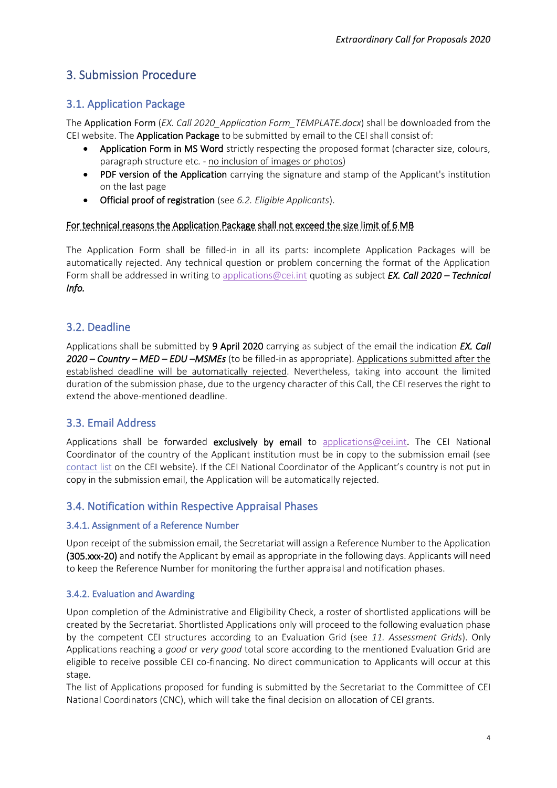## <span id="page-3-1"></span><span id="page-3-0"></span>3. Submission Procedure

#### 3.1. Application Package

The Application Form (*EX. Call 2020\_Application Form\_TEMPLATE.docx*) shall be downloaded from the CEI website. The Application Package to be submitted by email to the CEI shall consist of:

- Application Form in MS Word strictly respecting the proposed format (character size, colours, paragraph structure etc. - no inclusion of images or photos)
- PDF version of the Application carrying the signature and stamp of the Applicant's institution on the last page
- Official proof of registration (see *6.2. Eligible Applicants*).

#### For technical reasons the Application Package shall not exceed the size limit of 6 MB

The Application Form shall be filled-in in all its parts: incomplete Application Packages will be automatically rejected. Any technical question or problem concerning the format of the Application Form shall be addressed in writing to [applications@cei.int](mailto:applications@cei.int) quoting as subject *EX. Call 2020 – Technical Info.*

#### <span id="page-3-2"></span>3.2. Deadline

Applications shall be submitted by 9 April 2020 carrying as subject of the email the indication *EX. Call 2020 – Country – MED – EDU –MSMEs* (to be filled-in as appropriate). Applications submitted after the established deadline will be automatically rejected. Nevertheless, taking into account the limited duration of the submission phase, due to the urgency character of this Call, the CEI reserves the right to extend the above-mentioned deadline.

#### <span id="page-3-3"></span>3.3. Email Address

Applications shall be forwarded exclusively by email to [applications@cei.int](mailto:applications@cei.int). The CEI National Coordinator of the country of the Applicant institution must be in copy to the submission email (see [contact list](https://www.cei.int/national-co-ordinators) on the CEI website). If the CEI National Coordinator of the Applicant's country is not put in copy in the submission email, the Application will be automatically rejected.

#### <span id="page-3-4"></span>3.4. Notification within Respective Appraisal Phases

#### <span id="page-3-5"></span>3.4.1. Assignment of a Reference Number

Upon receipt of the submission email, the Secretariat will assign a Reference Number to the Application (305.xxx-20) and notify the Applicant by email as appropriate in the following days. Applicants will need to keep the Reference Number for monitoring the further appraisal and notification phases.

#### <span id="page-3-6"></span>3.4.2. Evaluation and Awarding

Upon completion of the Administrative and Eligibility Check, a roster of shortlisted applications will be created by the Secretariat. Shortlisted Applications only will proceed to the following evaluation phase by the competent CEI structures according to an Evaluation Grid (see *11. Assessment Grids*). Only Applications reaching a *good* or *very good* total score according to the mentioned Evaluation Grid are eligible to receive possible CEI co-financing. No direct communication to Applicants will occur at this stage.

The list of Applications proposed for funding is submitted by the Secretariat to the Committee of CEI National Coordinators (CNC), which will take the final decision on allocation of CEI grants.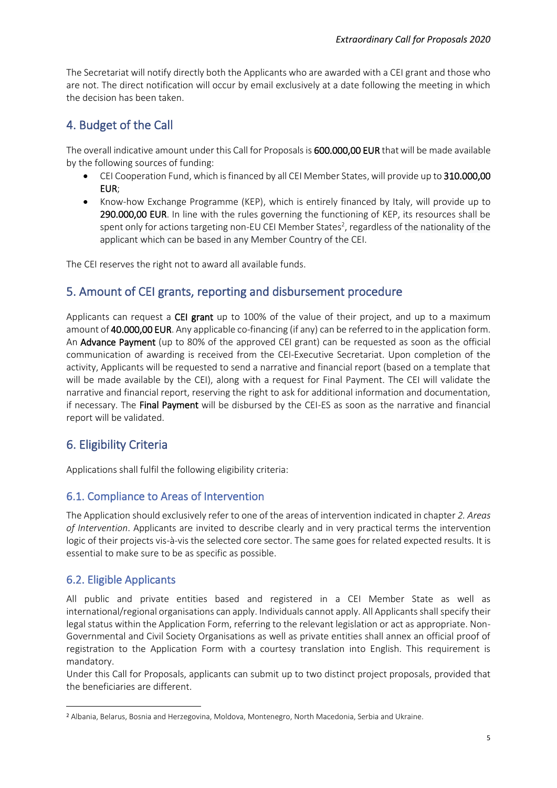The Secretariat will notify directly both the Applicants who are awarded with a CEI grant and those who are not. The direct notification will occur by email exclusively at a date following the meeting in which the decision has been taken.

## <span id="page-4-0"></span>4. Budget of the Call

The overall indicative amount under this Call for Proposals is 600.000,00 EUR that will be made available by the following sources of funding:

- CEI Cooperation Fund, which is financed by all CEI Member States, will provide up to 310.000,00 EUR;
- Know-how Exchange Programme (KEP), which is entirely financed by Italy, will provide up to 290.000,00 EUR. In line with the rules governing the functioning of KEP, its resources shall be spent only for actions targeting non-EU CEI Member States<sup>2</sup>, regardless of the nationality of the applicant which can be based in any Member Country of the CEI.

The CEI reserves the right not to award all available funds.

## <span id="page-4-1"></span>5. Amount of CEI grants, reporting and disbursement procedure

Applicants can request a CEI grant up to 100% of the value of their project, and up to a maximum amount of 40.000,00 EUR. Any applicable co-financing (if any) can be referred to in the application form. An **Advance Payment** (up to 80% of the approved CEI grant) can be requested as soon as the official communication of awarding is received from the CEI-Executive Secretariat. Upon completion of the activity, Applicants will be requested to send a narrative and financial report (based on a template that will be made available by the CEI), along with a request for Final Payment. The CEI will validate the narrative and financial report, reserving the right to ask for additional information and documentation, if necessary. The Final Payment will be disbursed by the CEI-ES as soon as the narrative and financial report will be validated.

## <span id="page-4-2"></span>6. Eligibility Criteria

Applications shall fulfil the following eligibility criteria:

## <span id="page-4-3"></span>6.1. Compliance to Areas of Intervention

The Application should exclusively refer to one of the areas of intervention indicated in chapter *2. Areas of Intervention*. Applicants are invited to describe clearly and in very practical terms the intervention logic of their projects vis-à-vis the selected core sector. The same goes for related expected results. It is essential to make sure to be as specific as possible.

## <span id="page-4-4"></span>6.2. Eligible Applicants

All public and private entities based and registered in a CEI Member State as well as international/regional organisations can apply. Individuals cannot apply. All Applicants shall specify their legal status within the Application Form, referring to the relevant legislation or act as appropriate. Non-Governmental and Civil Society Organisations as well as private entities shall annex an official proof of registration to the Application Form with a courtesy translation into English. This requirement is mandatory.

Under this Call for Proposals, applicants can submit up to two distinct project proposals, provided that the beneficiaries are different.

<sup>2</sup> Albania, Belarus, Bosnia and Herzegovina, Moldova, Montenegro, North Macedonia, Serbia and Ukraine.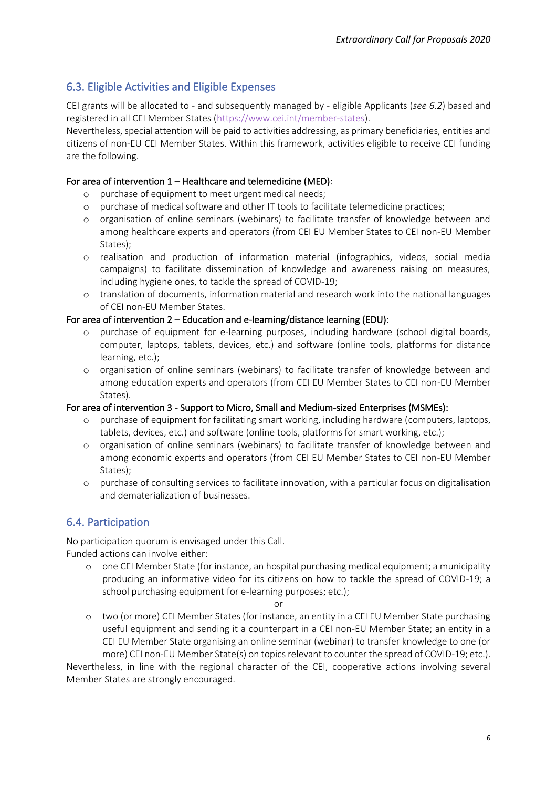### <span id="page-5-0"></span>6.3. Eligible Activities and Eligible Expenses

CEI grants will be allocated to - and subsequently managed by - eligible Applicants (*see 6.2*) based and registered in all CEI Member States [\(https://www.cei.int/member-states\)](https://www.cei.int/member-states).

Nevertheless, special attention will be paid to activities addressing, as primary beneficiaries, entities and citizens of non-EU CEI Member States. Within this framework, activities eligible to receive CEI funding are the following.

#### For area of intervention 1 – Healthcare and telemedicine (MED):

- o purchase of equipment to meet urgent medical needs;
- o purchase of medical software and other IT tools to facilitate telemedicine practices;
- o organisation of online seminars (webinars) to facilitate transfer of knowledge between and among healthcare experts and operators (from CEI EU Member States to CEI non-EU Member States);
- o realisation and production of information material (infographics, videos, social media campaigns) to facilitate dissemination of knowledge and awareness raising on measures, including hygiene ones, to tackle the spread of COVID-19;
- o translation of documents, information material and research work into the national languages of CEI non-EU Member States.

#### For area of intervention 2 – Education and e-learning/distance learning (EDU):

- o purchase of equipment for e-learning purposes, including hardware (school digital boards, computer, laptops, tablets, devices, etc.) and software (online tools, platforms for distance learning, etc.);
- o organisation of online seminars (webinars) to facilitate transfer of knowledge between and among education experts and operators (from CEI EU Member States to CEI non-EU Member States).

#### For area of intervention 3 - Support to Micro, Small and Medium-sized Enterprises (MSMEs):

- o purchase of equipment for facilitating smart working, including hardware (computers, laptops, tablets, devices, etc.) and software (online tools, platforms for smart working, etc.);
- o organisation of online seminars (webinars) to facilitate transfer of knowledge between and among economic experts and operators (from CEI EU Member States to CEI non-EU Member States);
- o purchase of consulting services to facilitate innovation, with a particular focus on digitalisation and dematerialization of businesses.

#### <span id="page-5-1"></span>6.4. Participation

No participation quorum is envisaged under this Call. Funded actions can involve either:

o one CEI Member State (for instance, an hospital purchasing medical equipment; a municipality producing an informative video for its citizens on how to tackle the spread of COVID-19; a school purchasing equipment for e-learning purposes; etc.);

or

o two (or more) CEI Member States (for instance, an entity in a CEI EU Member State purchasing useful equipment and sending it a counterpart in a CEI non-EU Member State; an entity in a CEI EU Member State organising an online seminar (webinar) to transfer knowledge to one (or more) CEI non-EU Member State(s) on topics relevant to counter the spread of COVID-19; etc.).

Nevertheless, in line with the regional character of the CEI, cooperative actions involving several Member States are strongly encouraged.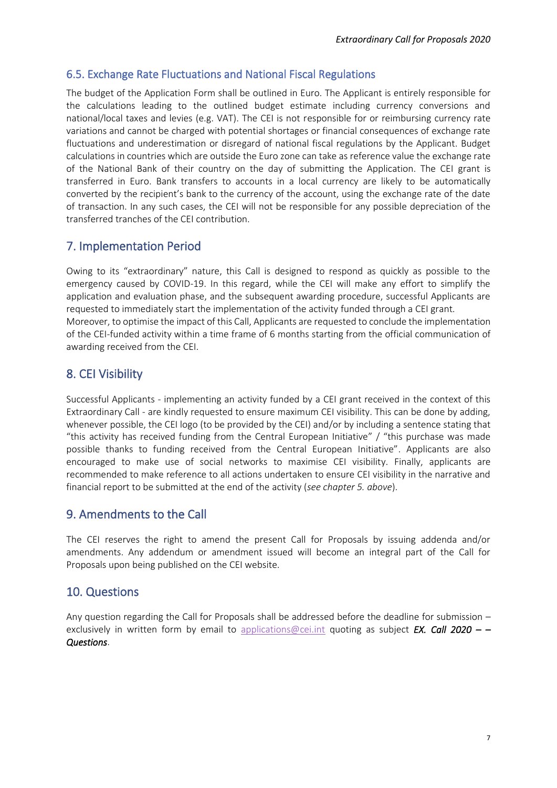### <span id="page-6-0"></span>6.5. Exchange Rate Fluctuations and National Fiscal Regulations

The budget of the Application Form shall be outlined in Euro. The Applicant is entirely responsible for the calculations leading to the outlined budget estimate including currency conversions and national/local taxes and levies (e.g. VAT). The CEI is not responsible for or reimbursing currency rate variations and cannot be charged with potential shortages or financial consequences of exchange rate fluctuations and underestimation or disregard of national fiscal regulations by the Applicant. Budget calculations in countries which are outside the Euro zone can take as reference value the exchange rate of the National Bank of their country on the day of submitting the Application. The CEI grant is transferred in Euro. Bank transfers to accounts in a local currency are likely to be automatically converted by the recipient's bank to the currency of the account, using the exchange rate of the date of transaction. In any such cases, the CEI will not be responsible for any possible depreciation of the transferred tranches of the CEI contribution.

## <span id="page-6-1"></span>7. Implementation Period

Owing to its "extraordinary" nature, this Call is designed to respond as quickly as possible to the emergency caused by COVID-19. In this regard, while the CEI will make any effort to simplify the application and evaluation phase, and the subsequent awarding procedure, successful Applicants are requested to immediately start the implementation of the activity funded through a CEI grant. Moreover, to optimise the impact of this Call, Applicants are requested to conclude the implementation of the CEI-funded activity within a time frame of 6 months starting from the official communication of awarding received from the CEI.

## 8. CEI Visibility

Successful Applicants - implementing an activity funded by a CEI grant received in the context of this Extraordinary Call - are kindly requested to ensure maximum CEI visibility. This can be done by adding, whenever possible, the CEI logo (to be provided by the CEI) and/or by including a sentence stating that "this activity has received funding from the Central European Initiative" / "this purchase was made possible thanks to funding received from the Central European Initiative". Applicants are also encouraged to make use of social networks to maximise CEI visibility. Finally, applicants are recommended to make reference to all actions undertaken to ensure CEI visibility in the narrative and financial report to be submitted at the end of the activity (*see chapter 5. above*).

#### <span id="page-6-2"></span>9. Amendments to the Call

The CEI reserves the right to amend the present Call for Proposals by issuing addenda and/or amendments. Any addendum or amendment issued will become an integral part of the Call for Proposals upon being published on the CEI website.

#### <span id="page-6-3"></span>10. Questions

Any question regarding the Call for Proposals shall be addressed before the deadline for submission – exclusively in written form by email to [applications@cei.int](mailto:applications@cei.int) quoting as subject *EX. Call 2020 – – Questions*.